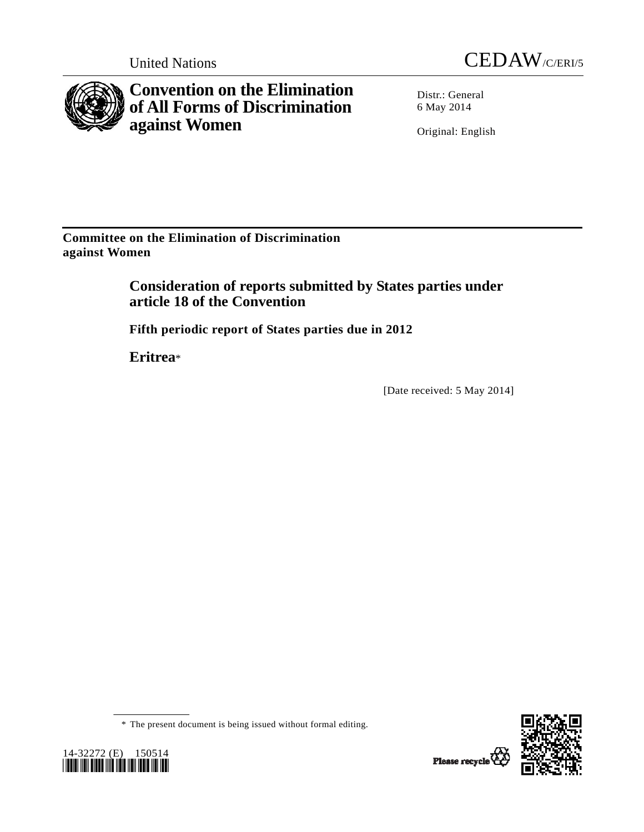



**Convention on the Elimination of All Forms of Discrimination against Women** 

Distr.: General 6 May 2014

Original: English

**Committee on the Elimination of Discrimination against Women** 

> **Consideration of reports submitted by States parties under article 18 of the Convention**

 **Fifth periodic report of States parties due in 2012** 

 **Eritrea**\*

[Date received: 5 May 2014]





 <sup>\*</sup> The present document is being issued without formal editing.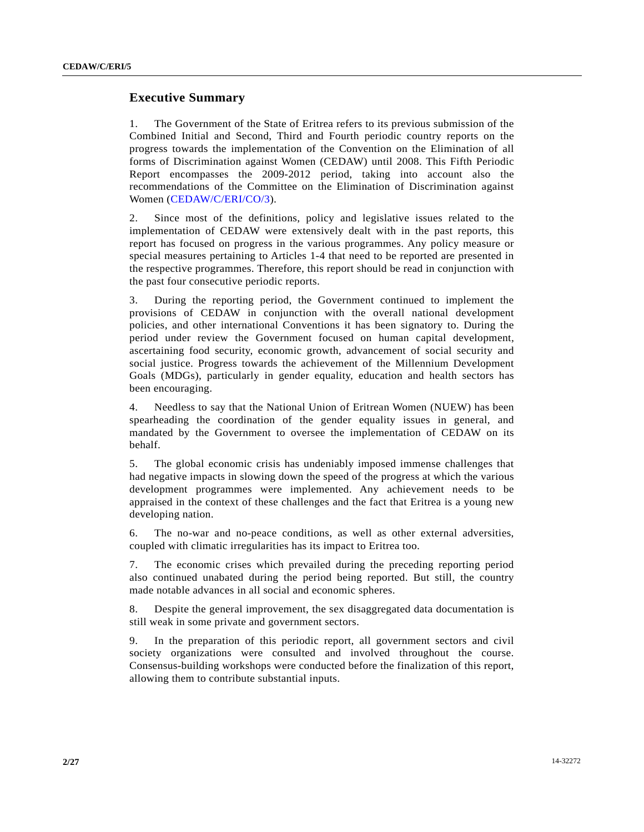# **Executive Summary**

1. The Government of the State of Eritrea refers to its previous submission of the Combined Initial and Second, Third and Fourth periodic country reports on the progress towards the implementation of the Convention on the Elimination of all forms of Discrimination against Women (CEDAW) until 2008. This Fifth Periodic Report encompasses the 2009-2012 period, taking into account also the recommendations of the Committee on the Elimination of Discrimination against Women [\(CEDAW/C/ERI/CO/3\)](http://undocs.org/CEDAW/C/ERI/CO/3).

2. Since most of the definitions, policy and legislative issues related to the implementation of CEDAW were extensively dealt with in the past reports, this report has focused on progress in the various programmes. Any policy measure or special measures pertaining to Articles 1-4 that need to be reported are presented in the respective programmes. Therefore, this report should be read in conjunction with the past four consecutive periodic reports.

3. During the reporting period, the Government continued to implement the provisions of CEDAW in conjunction with the overall national development policies, and other international Conventions it has been signatory to. During the period under review the Government focused on human capital development, ascertaining food security, economic growth, advancement of social security and social justice. Progress towards the achievement of the Millennium Development Goals (MDGs), particularly in gender equality, education and health sectors has been encouraging.

4. Needless to say that the National Union of Eritrean Women (NUEW) has been spearheading the coordination of the gender equality issues in general, and mandated by the Government to oversee the implementation of CEDAW on its behalf.

5. The global economic crisis has undeniably imposed immense challenges that had negative impacts in slowing down the speed of the progress at which the various development programmes were implemented. Any achievement needs to be appraised in the context of these challenges and the fact that Eritrea is a young new developing nation.

6. The no-war and no-peace conditions, as well as other external adversities, coupled with climatic irregularities has its impact to Eritrea too.

7. The economic crises which prevailed during the preceding reporting period also continued unabated during the period being reported. But still, the country made notable advances in all social and economic spheres.

8. Despite the general improvement, the sex disaggregated data documentation is still weak in some private and government sectors.

9. In the preparation of this periodic report, all government sectors and civil society organizations were consulted and involved throughout the course. Consensus-building workshops were conducted before the finalization of this report, allowing them to contribute substantial inputs.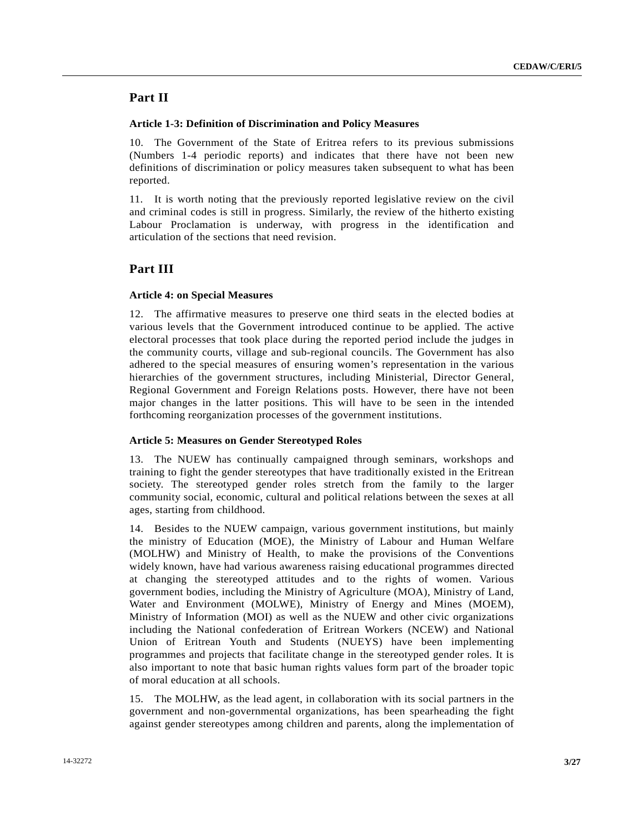# **Part II**

### **Article 1-3: Definition of Discrimination and Policy Measures**

10. The Government of the State of Eritrea refers to its previous submissions (Numbers 1-4 periodic reports) and indicates that there have not been new definitions of discrimination or policy measures taken subsequent to what has been reported.

11. It is worth noting that the previously reported legislative review on the civil and criminal codes is still in progress. Similarly, the review of the hitherto existing Labour Proclamation is underway, with progress in the identification and articulation of the sections that need revision.

# **Part III**

## **Article 4: on Special Measures**

12. The affirmative measures to preserve one third seats in the elected bodies at various levels that the Government introduced continue to be applied. The active electoral processes that took place during the reported period include the judges in the community courts, village and sub-regional councils. The Government has also adhered to the special measures of ensuring women's representation in the various hierarchies of the government structures, including Ministerial, Director General, Regional Government and Foreign Relations posts. However, there have not been major changes in the latter positions. This will have to be seen in the intended forthcoming reorganization processes of the government institutions.

## **Article 5: Measures on Gender Stereotyped Roles**

13. The NUEW has continually campaigned through seminars, workshops and training to fight the gender stereotypes that have traditionally existed in the Eritrean society. The stereotyped gender roles stretch from the family to the larger community social, economic, cultural and political relations between the sexes at all ages, starting from childhood.

14. Besides to the NUEW campaign, various government institutions, but mainly the ministry of Education (MOE), the Ministry of Labour and Human Welfare (MOLHW) and Ministry of Health, to make the provisions of the Conventions widely known, have had various awareness raising educational programmes directed at changing the stereotyped attitudes and to the rights of women. Various government bodies, including the Ministry of Agriculture (MOA), Ministry of Land, Water and Environment (MOLWE), Ministry of Energy and Mines (MOEM), Ministry of Information (MOI) as well as the NUEW and other civic organizations including the National confederation of Eritrean Workers (NCEW) and National Union of Eritrean Youth and Students (NUEYS) have been implementing programmes and projects that facilitate change in the stereotyped gender roles. It is also important to note that basic human rights values form part of the broader topic of moral education at all schools.

15. The MOLHW, as the lead agent, in collaboration with its social partners in the government and non-governmental organizations, has been spearheading the fight against gender stereotypes among children and parents, along the implementation of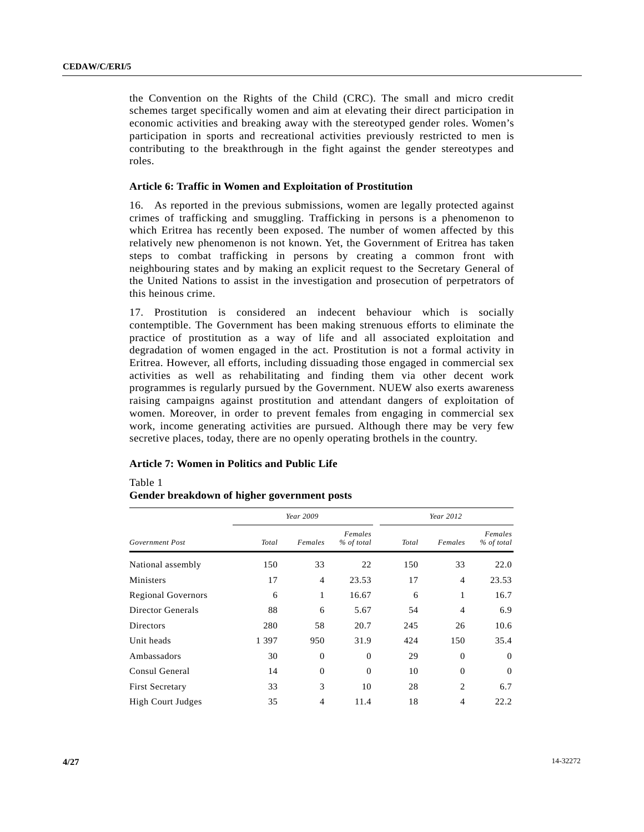the Convention on the Rights of the Child (CRC). The small and micro credit schemes target specifically women and aim at elevating their direct participation in economic activities and breaking away with the stereotyped gender roles. Women's participation in sports and recreational activities previously restricted to men is contributing to the breakthrough in the fight against the gender stereotypes and roles.

#### **Article 6: Traffic in Women and Exploitation of Prostitution**

16. As reported in the previous submissions, women are legally protected against crimes of trafficking and smuggling. Trafficking in persons is a phenomenon to which Eritrea has recently been exposed. The number of women affected by this relatively new phenomenon is not known. Yet, the Government of Eritrea has taken steps to combat trafficking in persons by creating a common front with neighbouring states and by making an explicit request to the Secretary General of the United Nations to assist in the investigation and prosecution of perpetrators of this heinous crime.

17. Prostitution is considered an indecent behaviour which is socially contemptible. The Government has been making strenuous efforts to eliminate the practice of prostitution as a way of life and all associated exploitation and degradation of women engaged in the act. Prostitution is not a formal activity in Eritrea. However, all efforts, including dissuading those engaged in commercial sex activities as well as rehabilitating and finding them via other decent work programmes is regularly pursued by the Government. NUEW also exerts awareness raising campaigns against prostitution and attendant dangers of exploitation of women. Moreover, in order to prevent females from engaging in commercial sex work, income generating activities are pursued. Although there may be very few secretive places, today, there are no openly operating brothels in the country.

## **Article 7: Women in Politics and Public Life**

Table 1

### **Gender breakdown of higher government posts**

|                           |         | Year 2009      |                       |       | Year 2012      |                       |  |
|---------------------------|---------|----------------|-----------------------|-------|----------------|-----------------------|--|
| Government Post           | Total   | Females        | Females<br>% of total | Total | Females        | Females<br>% of total |  |
| National assembly         | 150     | 33             | 22                    | 150   | 33             | 22.0                  |  |
| Ministers                 | 17      | $\overline{4}$ | 23.53                 | 17    | $\overline{4}$ | 23.53                 |  |
| <b>Regional Governors</b> | 6       | 1              | 16.67                 | 6     | 1              | 16.7                  |  |
| Director Generals         | 88      | 6              | 5.67                  | 54    | $\overline{4}$ | 6.9                   |  |
| <b>Directors</b>          | 280     | 58             | 20.7                  | 245   | 26             | 10.6                  |  |
| Unit heads                | 1 3 9 7 | 950            | 31.9                  | 424   | 150            | 35.4                  |  |
| Ambassadors               | 30      | $\theta$       | $\overline{0}$        | 29    | $\theta$       | $\theta$              |  |
| Consul General            | 14      | $\theta$       | $\mathbf{0}$          | 10    | $\overline{0}$ | $\overline{0}$        |  |
| <b>First Secretary</b>    | 33      | 3              | 10                    | 28    | $\overline{c}$ | 6.7                   |  |
| <b>High Court Judges</b>  | 35      | $\overline{4}$ | 11.4                  | 18    | $\overline{4}$ | 22.2                  |  |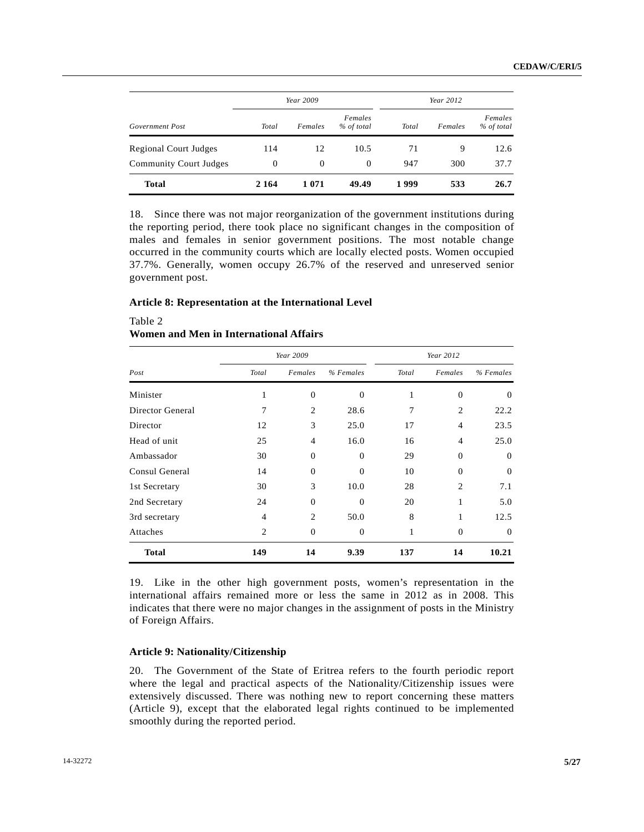|                               | Year 2009 |          |                       | Year 2012 |         |                       |
|-------------------------------|-----------|----------|-----------------------|-----------|---------|-----------------------|
| Government Post               | Total     | Females  | Females<br>% of total | Total     | Females | Females<br>% of total |
| <b>Regional Court Judges</b>  | 114       | 12       | 10.5                  | 71        | 9       | 12.6                  |
| <b>Community Court Judges</b> | $\theta$  | $\Omega$ | $\Omega$              | 947       | 300     | 37.7                  |
| <b>Total</b>                  | 2 1 6 4   | 1 0 7 1  | 49.49                 | 1999      | 533     | 26.7                  |

18. Since there was not major reorganization of the government institutions during the reporting period, there took place no significant changes in the composition of males and females in senior government positions. The most notable change occurred in the community courts which are locally elected posts. Women occupied 37.7%. Generally, women occupy 26.7% of the reserved and unreserved senior government post.

#### **Article 8: Representation at the International Level**

# Table 2  **Women and Men in International Affairs**

|                  | Year 2009      |                               |                |       | Year 2012      |           |  |
|------------------|----------------|-------------------------------|----------------|-------|----------------|-----------|--|
| Post             | Total          | Females                       | % Females      | Total | Females        | % Females |  |
| Minister         | 1              | $\Omega$                      | $\Omega$       | 1     | $\mathbf{0}$   | $\Omega$  |  |
| Director General | 7              | $\mathfrak{D}_{\mathfrak{p}}$ | 28.6           | 7     | $\overline{c}$ | 22.2      |  |
| Director         | 12             | 3                             | 25.0           | 17    | $\overline{4}$ | 23.5      |  |
| Head of unit     | 25             | $\overline{4}$                | 16.0           | 16    | 4              | 25.0      |  |
| Ambassador       | 30             | $\Omega$                      | $\Omega$       | 29    | $\mathbf{0}$   | $\Omega$  |  |
| Consul General   | 14             | $\Omega$                      | $\Omega$       | 10    | $\mathbf{0}$   | $\theta$  |  |
| 1st Secretary    | 30             | 3                             | 10.0           | 28    | $\overline{2}$ | 7.1       |  |
| 2nd Secretary    | 24             | $\Omega$                      | $\Omega$       | 20    | 1              | 5.0       |  |
| 3rd secretary    | $\overline{4}$ | 2                             | 50.0           | 8     | 1              | 12.5      |  |
| Attaches         | 2              | $\theta$                      | $\overline{0}$ | 1     | $\mathbf{0}$   | $\theta$  |  |
| <b>Total</b>     | 149            | 14                            | 9.39           | 137   | 14             | 10.21     |  |

19. Like in the other high government posts, women's representation in the international affairs remained more or less the same in 2012 as in 2008. This indicates that there were no major changes in the assignment of posts in the Ministry of Foreign Affairs.

### **Article 9: Nationality/Citizenship**

20. The Government of the State of Eritrea refers to the fourth periodic report where the legal and practical aspects of the Nationality/Citizenship issues were extensively discussed. There was nothing new to report concerning these matters (Article 9), except that the elaborated legal rights continued to be implemented smoothly during the reported period.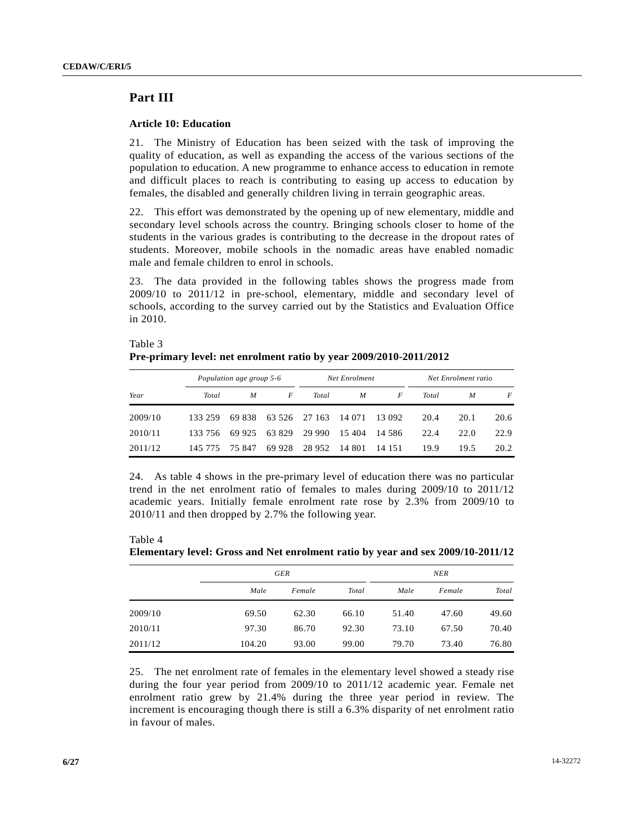# **Part III**

 $\pm$  33333

## **Article 10: Education**

21. The Ministry of Education has been seized with the task of improving the quality of education, as well as expanding the access of the various sections of the population to education. A new programme to enhance access to education in remote and difficult places to reach is contributing to easing up access to education by females, the disabled and generally children living in terrain geographic areas.

22. This effort was demonstrated by the opening up of new elementary, middle and secondary level schools across the country. Bringing schools closer to home of the students in the various grades is contributing to the decrease in the dropout rates of students. Moreover, mobile schools in the nomadic areas have enabled nomadic male and female children to enrol in schools.

23. The data provided in the following tables shows the progress made from 2009/10 to 2011/12 in pre-school, elementary, middle and secondary level of schools, according to the survey carried out by the Statistics and Evaluation Office in 2010.

| Table 3                                                            |
|--------------------------------------------------------------------|
| Pre-primary level: net enrolment ratio by year 2009/2010-2011/2012 |

|         | Population age group 5-6 |        | Net Enrolment |               |        | Net Enrolment ratio |       |      |      |
|---------|--------------------------|--------|---------------|---------------|--------|---------------------|-------|------|------|
| Year    | Total                    | M      | F             | Total         | M      | F                   | Total | M    | F    |
| 2009/10 | 133 259                  | 69 838 |               | 63 526 27 163 | 14 071 | 13 092              | 20.4  | 20.1 | 20.6 |
| 2010/11 | 133 756                  | 69 925 | 63 829        | 29 990        | 15 404 | - 14.586            | 22.4  | 22.0 | 22.9 |
| 2011/12 | 145 775                  | 75847  | 69 928        | 28 9 52       | 14 801 | 14 15 1             | 19.9  | 19.5 | 20.2 |

24. As table 4 shows in the pre-primary level of education there was no particular trend in the net enrolment ratio of females to males during 2009/10 to 2011/12 academic years. Initially female enrolment rate rose by 2.3% from 2009/10 to 2010/11 and then dropped by 2.7% the following year.

Table 4  **Elementary level: Gross and Net enrolment ratio by year and sex 2009/10-2011/12** 

|         | GER    |        |       | <b>NER</b> |        |       |
|---------|--------|--------|-------|------------|--------|-------|
|         | Male   | Female | Total | Male       | Female | Total |
| 2009/10 | 69.50  | 62.30  | 66.10 | 51.40      | 47.60  | 49.60 |
| 2010/11 | 97.30  | 86.70  | 92.30 | 73.10      | 67.50  | 70.40 |
| 2011/12 | 104.20 | 93.00  | 99.00 | 79.70      | 73.40  | 76.80 |

25. The net enrolment rate of females in the elementary level showed a steady rise during the four year period from 2009/10 to 2011/12 academic year. Female net enrolment ratio grew by 21.4% during the three year period in review. The increment is encouraging though there is still a 6.3% disparity of net enrolment ratio in favour of males.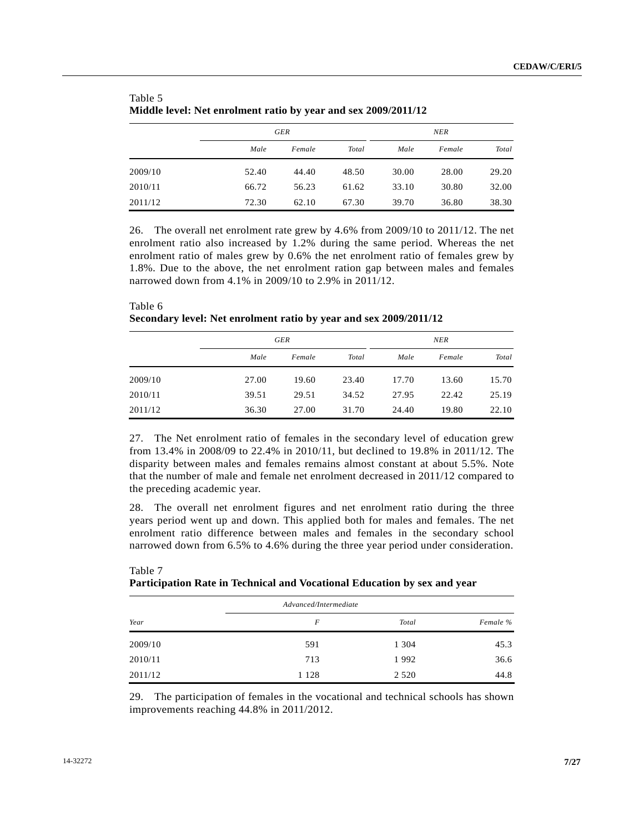|         | GER   |        |       |       | <b>NER</b> |       |  |
|---------|-------|--------|-------|-------|------------|-------|--|
|         | Male  | Female | Total | Male  | Female     | Total |  |
| 2009/10 | 52.40 | 44.40  | 48.50 | 30.00 | 28.00      | 29.20 |  |
| 2010/11 | 66.72 | 56.23  | 61.62 | 33.10 | 30.80      | 32.00 |  |
| 2011/12 | 72.30 | 62.10  | 67.30 | 39.70 | 36.80      | 38.30 |  |

| $1$ and $\sigma$ .                                             |
|----------------------------------------------------------------|
| Middle level: Net enrolment ratio by year and sex 2009/2011/12 |

 $Table 5$ 

26. The overall net enrolment rate grew by 4.6% from 2009/10 to 2011/12. The net enrolment ratio also increased by 1.2% during the same period. Whereas the net enrolment ratio of males grew by 0.6% the net enrolment ratio of females grew by 1.8%. Due to the above, the net enrolment ration gap between males and females narrowed down from 4.1% in 2009/10 to 2.9% in 2011/12.

| Table 6                                                           |
|-------------------------------------------------------------------|
| Secondary level: Net enrolment ratio by year and sex 2009/2011/12 |

|         | GER   |        |       | NER   |        |       |
|---------|-------|--------|-------|-------|--------|-------|
|         | Male  | Female | Total | Male  | Female | Total |
| 2009/10 | 27.00 | 19.60  | 23.40 | 17.70 | 13.60  | 15.70 |
| 2010/11 | 39.51 | 29.51  | 34.52 | 27.95 | 22.42  | 25.19 |
| 2011/12 | 36.30 | 27.00  | 31.70 | 24.40 | 19.80  | 22.10 |

27. The Net enrolment ratio of females in the secondary level of education grew from 13.4% in 2008/09 to 22.4% in 2010/11, but declined to 19.8% in 2011/12. The disparity between males and females remains almost constant at about 5.5%. Note that the number of male and female net enrolment decreased in 2011/12 compared to the preceding academic year.

28. The overall net enrolment figures and net enrolment ratio during the three years period went up and down. This applied both for males and females. The net enrolment ratio difference between males and females in the secondary school narrowed down from 6.5% to 4.6% during the three year period under consideration.

|         |                       | $\cdot$ | $\overline{\phantom{a}}$ |
|---------|-----------------------|---------|--------------------------|
|         | Advanced/Intermediate |         |                          |
| Year    | F                     | Total   | Female %                 |
| 2009/10 | 591                   | 1 3 0 4 | 45.3                     |
| 2010/11 | 713                   | 1992    | 36.6                     |
| 2011/12 | 1 1 2 8               | 2 5 2 0 | 44.8                     |

# Table 7  **Participation Rate in Technical and Vocational Education by sex and year**

29. The participation of females in the vocational and technical schools has shown improvements reaching 44.8% in 2011/2012.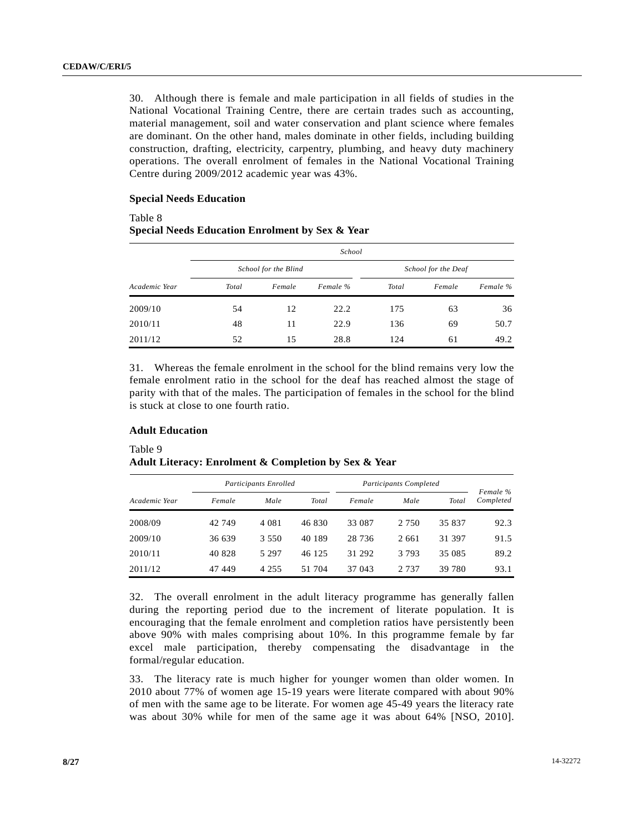30. Although there is female and male participation in all fields of studies in the National Vocational Training Centre, there are certain trades such as accounting, material management, soil and water conservation and plant science where females are dominant. On the other hand, males dominate in other fields, including building construction, drafting, electricity, carpentry, plumbing, and heavy duty machinery operations. The overall enrolment of females in the National Vocational Training Centre during 2009/2012 academic year was 43%.

#### **Special Needs Education**

## Table 8  **Special Needs Education Enrolment by Sex & Year**

|               |       |                      | School   |                     |        |          |
|---------------|-------|----------------------|----------|---------------------|--------|----------|
|               |       | School for the Blind |          | School for the Deaf |        |          |
| Academic Year | Total | Female               | Female % | Total               | Female | Female % |
| 2009/10       | 54    | 12                   | 22.2     | 175                 | 63     | 36       |
| 2010/11       | 48    | 11                   | 22.9     | 136                 | 69     | 50.7     |
| 2011/12       | 52    | 15                   | 28.8     | 124                 | 61     | 49.2     |

31. Whereas the female enrolment in the school for the blind remains very low the female enrolment ratio in the school for the deaf has reached almost the stage of parity with that of the males. The participation of females in the school for the blind is stuck at close to one fourth ratio.

### **Adult Education**

Table 9  **Adult Literacy: Enrolment & Completion by Sex & Year** 

|               |        | Participants Enrolled |        |         | Participants Completed |        |                       |
|---------------|--------|-----------------------|--------|---------|------------------------|--------|-----------------------|
| Academic Year | Female | Male                  | Total  | Female  | Male                   | Total  | Female %<br>Completed |
| 2008/09       | 42 749 | 4 0 8 1               | 46 830 | 33 087  | 2 7 5 0                | 35 837 | 92.3                  |
| 2009/10       | 36 639 | 3.550                 | 40 189 | 28 7 36 | 2 6 6 1                | 31 397 | 91.5                  |
| 2010/11       | 40 828 | 5 2 9 7               | 46 125 | 31 292  | 3 7 9 3                | 35 085 | 89.2                  |
| 2011/12       | 47449  | 4 2 5 5               | 51 704 | 37 043  | 2 737                  | 39 780 | 93.1                  |

32. The overall enrolment in the adult literacy programme has generally fallen during the reporting period due to the increment of literate population. It is encouraging that the female enrolment and completion ratios have persistently been above 90% with males comprising about 10%. In this programme female by far excel male participation, thereby compensating the disadvantage in the formal/regular education.

33. The literacy rate is much higher for younger women than older women. In 2010 about 77% of women age 15-19 years were literate compared with about 90% of men with the same age to be literate. For women age 45-49 years the literacy rate was about 30% while for men of the same age it was about 64% [NSO, 2010].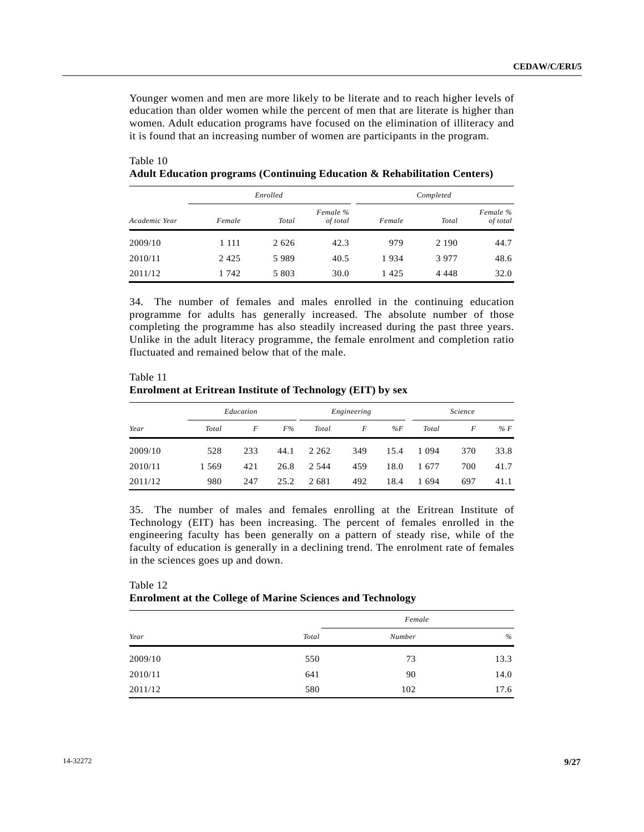Younger women and men are more likely to be literate and to reach higher levels of education than older women while the percent of men that are literate is higher than women. Adult education programs have focused on the elimination of illiteracy and it is found that an increasing number of women are participants in the program.

|               | Enrolled |         |                      |        |         |                      |
|---------------|----------|---------|----------------------|--------|---------|----------------------|
| Academic Year | Female   | Total   | Female %<br>of total | Female | Total   | Female %<br>of total |
| 2009/10       | 1 111    | 2 6 2 6 | 42.3                 | 979    | 2 1 9 0 | 44.7                 |
| 2010/11       | 2425     | 5989    | 40.5                 | 1934   | 3977    | 48.6                 |
| 2011/12       | 1 742    | 5 8 0 3 | 30.0                 | 1425   | 4 4 4 8 | 32.0                 |

 Table 10 **Adult Education programs (Continuing Education & Rehabilitation Centers)** 

34. The number of females and males enrolled in the continuing education programme for adults has generally increased. The absolute number of those completing the programme has also steadily increased during the past three years. Unlike in the adult literacy programme, the female enrolment and completion ratio fluctuated and remained below that of the male.

| Table 11                                                   |
|------------------------------------------------------------|
| Enrolment at Eritrean Institute of Technology (EIT) by sex |

|         |         | Education |      |         | Engineering |       |         | Science |       |
|---------|---------|-----------|------|---------|-------------|-------|---------|---------|-------|
| Year    | Total   | F         | F%   | Total   | F           | % $F$ | Total   | F       | % $F$ |
| 2009/10 | 528     | 233       | 44.1 | 2 2 6 2 | 349         | 15.4  | 1 0 9 4 | 370     | 33.8  |
| 2010/11 | 1 5 6 9 | 421       | 26.8 | 2 5 4 4 | 459         | 18.0  | 1677    | 700     | 41.7  |
| 2011/12 | 980     | 247       | 25.2 | 2681    | 492         | 18.4  | 1 694   | 697     | 41.1  |

35. The number of males and females enrolling at the Eritrean Institute of Technology (EIT) has been increasing. The percent of females enrolled in the engineering faculty has been generally on a pattern of steady rise, while of the faculty of education is generally in a declining trend. The enrolment rate of females in the sciences goes up and down.

| Table 12                                                          |  |  |
|-------------------------------------------------------------------|--|--|
| <b>Enrolment at the College of Marine Sciences and Technology</b> |  |  |

|         |       | Female |      |
|---------|-------|--------|------|
| Year    | Total | Number | $\%$ |
| 2009/10 | 550   | 73     | 13.3 |
| 2010/11 | 641   | 90     | 14.0 |
| 2011/12 | 580   | 102    | 17.6 |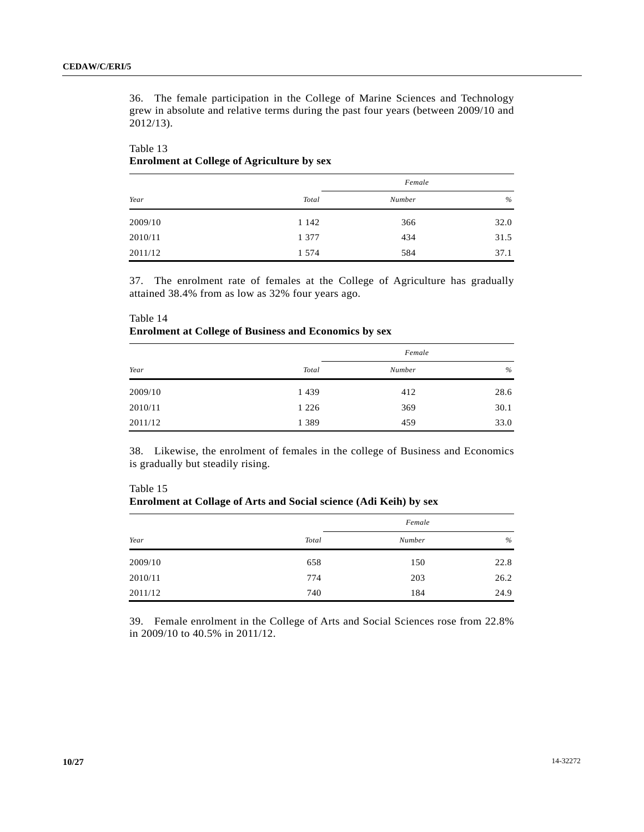36. The female participation in the College of Marine Sciences and Technology grew in absolute and relative terms during the past four years (between 2009/10 and 2012/13).

# Table 13  **Enrolment at College of Agriculture by sex**

|         |         | Female |      |
|---------|---------|--------|------|
| Year    | Total   | Number | $\%$ |
| 2009/10 | 1 1 4 2 | 366    | 32.0 |
| 2010/11 | 1 3 7 7 | 434    | 31.5 |
| 2011/12 | 1 5 7 4 | 584    | 37.1 |

37. The enrolment rate of females at the College of Agriculture has gradually attained 38.4% from as low as 32% four years ago.

|         |         | Female |      |
|---------|---------|--------|------|
| Year    | Total   | Number | $\%$ |
| 2009/10 | 1 4 3 9 | 412    | 28.6 |
| 2010/11 | 1 2 2 6 | 369    | 30.1 |
| 2011/12 | 1 3 8 9 | 459    | 33.0 |

# Table 14  **Enrolment at College of Business and Economics by sex**

38. Likewise, the enrolment of females in the college of Business and Economics is gradually but steadily rising.

| Table 15                                                                 |
|--------------------------------------------------------------------------|
| <b>Enrolment at Collage of Arts and Social science (Adi Keih) by sex</b> |

|         |       | Female |      |
|---------|-------|--------|------|
| Year    | Total | Number | %    |
| 2009/10 | 658   | 150    | 22.8 |
| 2010/11 | 774   | 203    | 26.2 |
| 2011/12 | 740   | 184    | 24.9 |

39. Female enrolment in the College of Arts and Social Sciences rose from 22.8% in 2009/10 to 40.5% in 2011/12.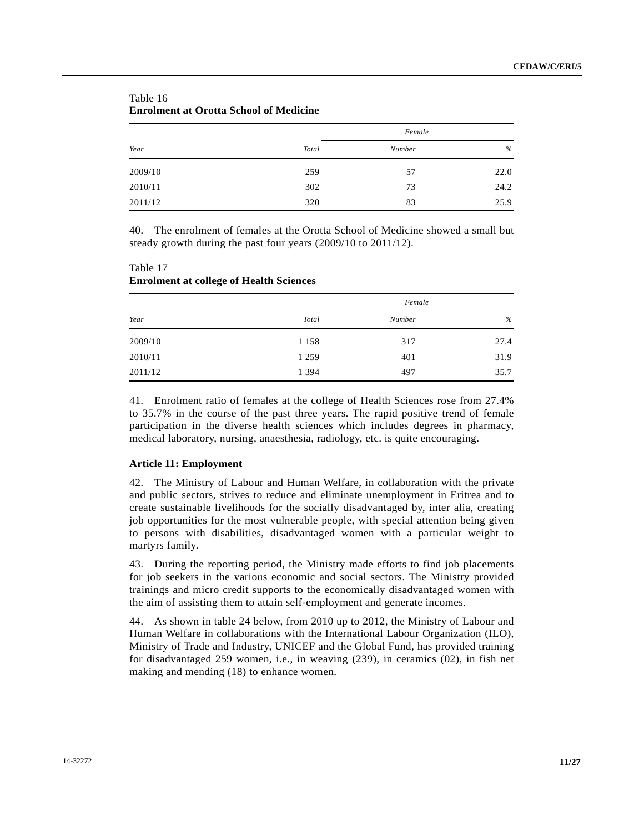| Year    |       | Female |      |
|---------|-------|--------|------|
|         | Total | Number | $\%$ |
| 2009/10 | 259   | 57     | 22.0 |
| 2010/11 | 302   | 73     | 24.2 |
| 2011/12 | 320   | 83     | 25.9 |

# Table 16  **Enrolment at Orotta School of Medicine**

40. The enrolment of females at the Orotta School of Medicine showed a small but steady growth during the past four years (2009/10 to 2011/12).

| Table 17 |                                                |
|----------|------------------------------------------------|
|          | <b>Enrolment at college of Health Sciences</b> |

*<u>mai</u>* 17

|         |         | Female |      |
|---------|---------|--------|------|
| Year    | Total   | Number | $\%$ |
| 2009/10 | 1 1 5 8 | 317    | 27.4 |
| 2010/11 | 1 2 5 9 | 401    | 31.9 |
| 2011/12 | 1 3 9 4 | 497    | 35.7 |

41. Enrolment ratio of females at the college of Health Sciences rose from 27.4% to 35.7% in the course of the past three years. The rapid positive trend of female participation in the diverse health sciences which includes degrees in pharmacy, medical laboratory, nursing, anaesthesia, radiology, etc. is quite encouraging.

## **Article 11: Employment**

42. The Ministry of Labour and Human Welfare, in collaboration with the private and public sectors, strives to reduce and eliminate unemployment in Eritrea and to create sustainable livelihoods for the socially disadvantaged by, inter alia, creating job opportunities for the most vulnerable people, with special attention being given to persons with disabilities, disadvantaged women with a particular weight to martyrs family.

43. During the reporting period, the Ministry made efforts to find job placements for job seekers in the various economic and social sectors. The Ministry provided trainings and micro credit supports to the economically disadvantaged women with the aim of assisting them to attain self-employment and generate incomes.

44. As shown in table 24 below, from 2010 up to 2012, the Ministry of Labour and Human Welfare in collaborations with the International Labour Organization (ILO), Ministry of Trade and Industry, UNICEF and the Global Fund, has provided training for disadvantaged 259 women, i.e., in weaving (239), in ceramics (02), in fish net making and mending (18) to enhance women.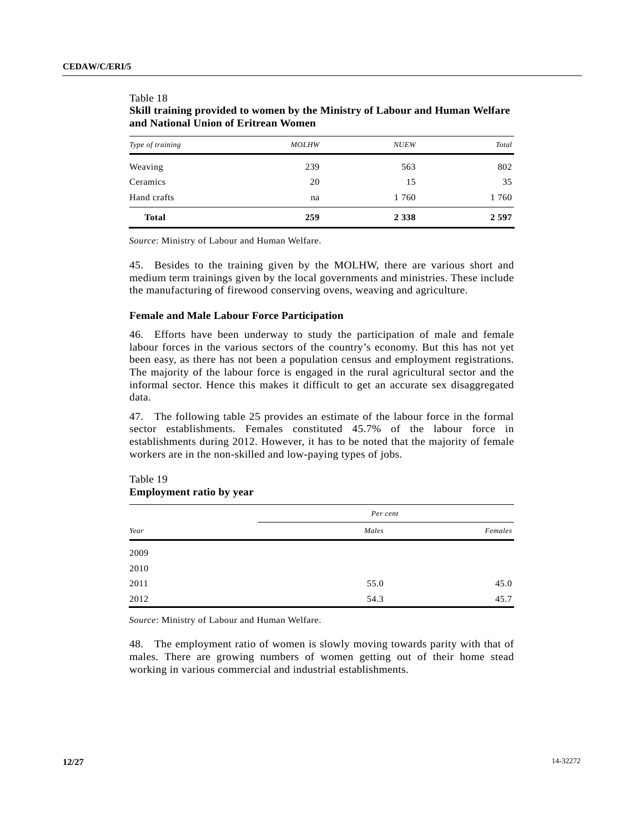Table 18

| Type of training | <b>MOLHW</b> | <b>NUEW</b> | Total |
|------------------|--------------|-------------|-------|
| Weaving          | 239          | 563         | 802   |
| Ceramics         | 20           | 15          | 35    |
| Hand crafts      | na           | 1 760       | 1760  |
| <b>Total</b>     | 259          | 2 3 3 8     | 2597  |

# **Skill training provided to women by the Ministry of Labour and Human Welfare and National Union of Eritrean Women**

*Source*: Ministry of Labour and Human Welfare.

45. Besides to the training given by the MOLHW, there are various short and medium term trainings given by the local governments and ministries. These include the manufacturing of firewood conserving ovens, weaving and agriculture.

## **Female and Male Labour Force Participation**

46. Efforts have been underway to study the participation of male and female labour forces in the various sectors of the country's economy. But this has not yet been easy, as there has not been a population census and employment registrations. The majority of the labour force is engaged in the rural agricultural sector and the informal sector. Hence this makes it difficult to get an accurate sex disaggregated data.

47. The following table 25 provides an estimate of the labour force in the formal sector establishments. Females constituted 45.7% of the labour force in establishments during 2012. However, it has to be noted that the majority of female workers are in the non-skilled and low-paying types of jobs.

|      | Per cent |         |
|------|----------|---------|
| Year | Males    | Females |
| 2009 |          |         |
| 2010 |          |         |
| 2011 | 55.0     | 45.0    |
| 2012 | 54.3     | 45.7    |

## Table 19  **Employment ratio by year**

*Source*: Ministry of Labour and Human Welfare.

48. The employment ratio of women is slowly moving towards parity with that of males. There are growing numbers of women getting out of their home stead working in various commercial and industrial establishments.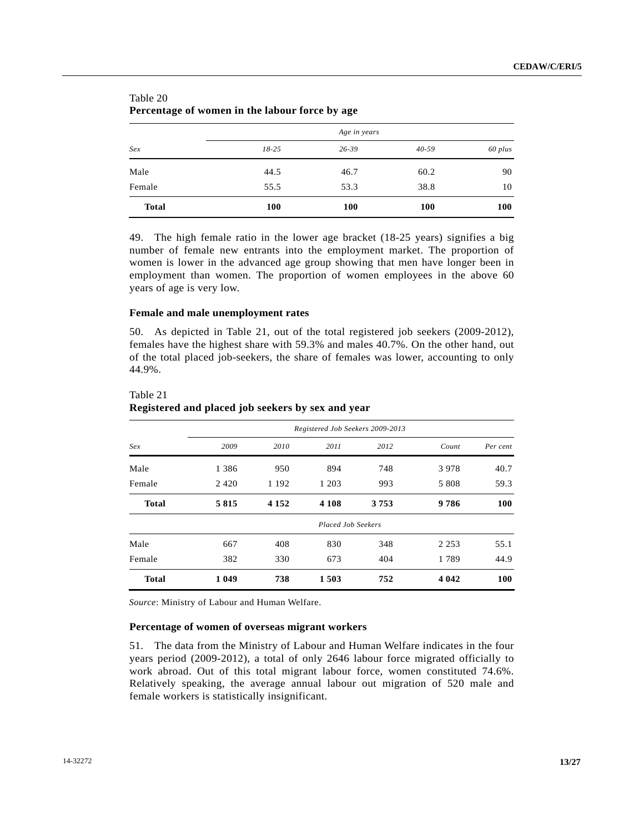|              |           | Age in years |            |         |
|--------------|-----------|--------------|------------|---------|
| Sex          | $18 - 25$ | $26 - 39$    | $40 - 59$  | 60 plus |
| Male         | 44.5      | 46.7         | 60.2       | 90      |
| Female       | 55.5      | 53.3         | 38.8       | 10      |
| <b>Total</b> | 100       | <b>100</b>   | <b>100</b> | 100     |

| Table 20                                       |  |
|------------------------------------------------|--|
| Percentage of women in the labour force by age |  |

49. The high female ratio in the lower age bracket (18-25 years) signifies a big number of female new entrants into the employment market. The proportion of women is lower in the advanced age group showing that men have longer been in employment than women. The proportion of women employees in the above 60 years of age is very low.

#### **Female and male unemployment rates**

50. As depicted in Table 21, out of the total registered job seekers (2009-2012), females have the highest share with 59.3% and males 40.7%. On the other hand, out of the total placed job-seekers, the share of females was lower, accounting to only 44.9%.

|              | Registered Job Seekers 2009-2013 |         |                           |      |         |          |  |
|--------------|----------------------------------|---------|---------------------------|------|---------|----------|--|
| Sex          | 2009                             | 2010    | 2011                      | 2012 | Count   | Per cent |  |
| Male         | 1 3 8 6                          | 950     | 894                       | 748  | 3978    | 40.7     |  |
| Female       | 2420                             | 1 1 9 2 | 1 203                     | 993  | 5 8 0 8 | 59.3     |  |
| <b>Total</b> | 5815                             | 4 1 5 2 | 4 1 0 8                   | 3753 | 9786    | 100      |  |
|              |                                  |         | <b>Placed Job Seekers</b> |      |         |          |  |
| Male         | 667                              | 408     | 830                       | 348  | 2 2 5 3 | 55.1     |  |
| Female       | 382                              | 330     | 673                       | 404  | 1789    | 44.9     |  |
| <b>Total</b> | 1 0 4 9                          | 738     | 1503                      | 752  | 4 0 4 2 | 100      |  |

#### Table 21

# **Registered and placed job seekers by sex and year**

*Source*: Ministry of Labour and Human Welfare.

## **Percentage of women of overseas migrant workers**

51. The data from the Ministry of Labour and Human Welfare indicates in the four years period (2009-2012), a total of only 2646 labour force migrated officially to work abroad. Out of this total migrant labour force, women constituted 74.6%. Relatively speaking, the average annual labour out migration of 520 male and female workers is statistically insignificant.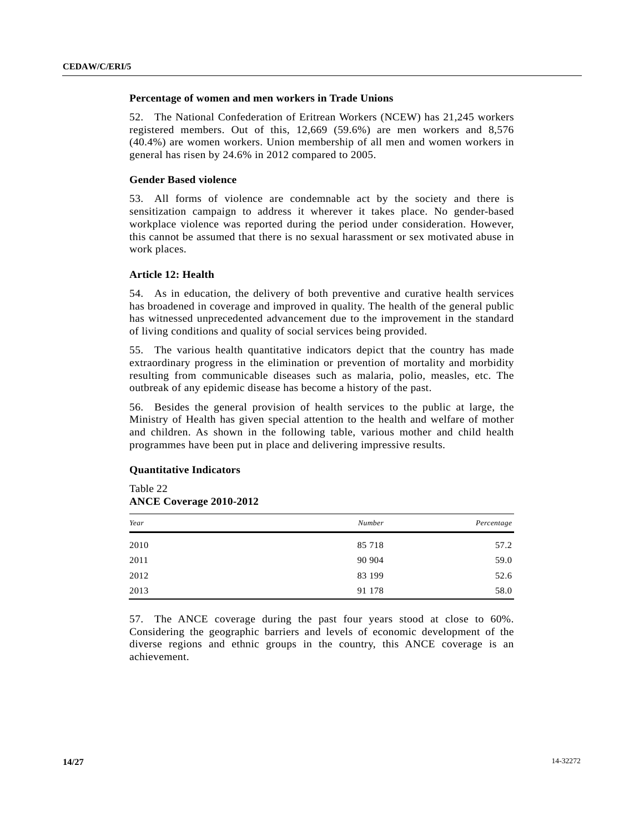### **Percentage of women and men workers in Trade Unions**

52. The National Confederation of Eritrean Workers (NCEW) has 21,245 workers registered members. Out of this, 12,669 (59.6%) are men workers and 8,576 (40.4%) are women workers. Union membership of all men and women workers in general has risen by 24.6% in 2012 compared to 2005.

#### **Gender Based violence**

53. All forms of violence are condemnable act by the society and there is sensitization campaign to address it wherever it takes place. No gender-based workplace violence was reported during the period under consideration. However, this cannot be assumed that there is no sexual harassment or sex motivated abuse in work places.

### **Article 12: Health**

54. As in education, the delivery of both preventive and curative health services has broadened in coverage and improved in quality. The health of the general public has witnessed unprecedented advancement due to the improvement in the standard of living conditions and quality of social services being provided.

55. The various health quantitative indicators depict that the country has made extraordinary progress in the elimination or prevention of mortality and morbidity resulting from communicable diseases such as malaria, polio, measles, etc. The outbreak of any epidemic disease has become a history of the past.

56. Besides the general provision of health services to the public at large, the Ministry of Health has given special attention to the health and welfare of mother and children. As shown in the following table, various mother and child health programmes have been put in place and delivering impressive results.

### **Quantitative Indicators**

Table 22  **ANCE Coverage 2010-2012** 

| Year | Number | Percentage |
|------|--------|------------|
| 2010 | 85 718 | 57.2       |
| 2011 | 90 904 | 59.0       |
| 2012 | 83 199 | 52.6       |
| 2013 | 91 178 | 58.0       |

57. The ANCE coverage during the past four years stood at close to 60%. Considering the geographic barriers and levels of economic development of the diverse regions and ethnic groups in the country, this ANCE coverage is an achievement.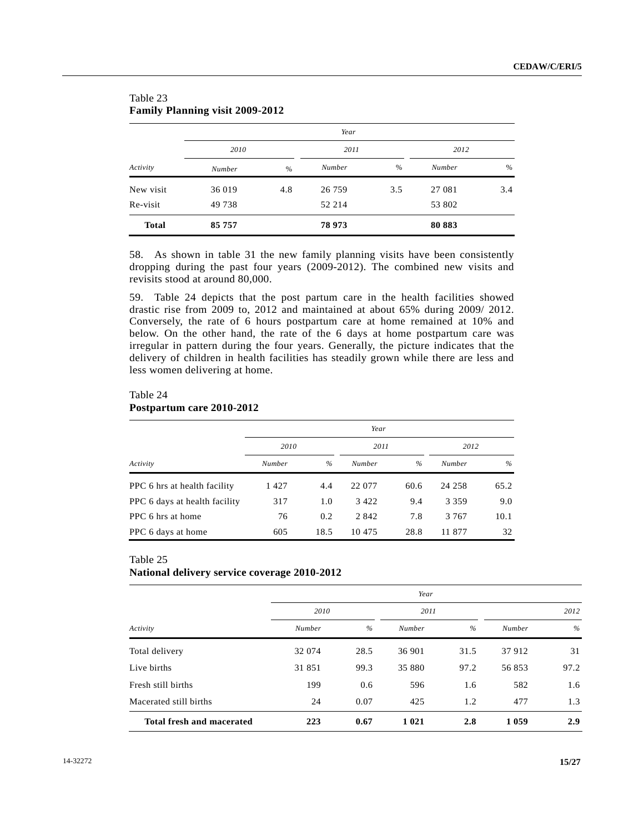|              |        |      | Year   |     |        |     |
|--------------|--------|------|--------|-----|--------|-----|
|              | 2010   |      | 2011   |     | 2012   |     |
| Activity     | Number | $\%$ | Number | %   | Number | %   |
| New visit    | 36 019 | 4.8  | 26 759 | 3.5 | 27 081 | 3.4 |
| Re-visit     | 49 738 |      | 52 214 |     | 53 802 |     |
| <b>Total</b> | 85 757 |      | 78 973 |     | 80883  |     |

# Table 23 **Family Planning visit 2009-2012**

58. As shown in table 31 the new family planning visits have been consistently dropping during the past four years (2009-2012). The combined new visits and revisits stood at around 80,000.

59. Table 24 depicts that the post partum care in the health facilities showed drastic rise from 2009 to, 2012 and maintained at about 65% during 2009/ 2012. Conversely, the rate of 6 hours postpartum care at home remained at 10% and below. On the other hand, the rate of the 6 days at home postpartum care was irregular in pattern during the four years. Generally, the picture indicates that the delivery of children in health facilities has steadily grown while there are less and less women delivering at home.

# Table 24  **Postpartum care 2010-2012**

|                               | Year   |      |               |      |               |      |  |
|-------------------------------|--------|------|---------------|------|---------------|------|--|
|                               | 2010   |      | 2011          |      | 2012          |      |  |
| Activity                      | Number | $\%$ | <b>Number</b> | $\%$ | <b>Number</b> | $\%$ |  |
| PPC 6 hrs at health facility  | 1427   | 4.4  | 22 077        | 60.6 | 24 258        | 65.2 |  |
| PPC 6 days at health facility | 317    | 1.0  | 3 4 2 2       | 9.4  | 3 3 5 9       | 9.0  |  |
| PPC 6 hrs at home             | 76     | 0.2  | 2 8 4 2       | 7.8  | 3 7 6 7       | 10.1 |  |
| PPC 6 days at home            | 605    | 18.5 | 10 475        | 28.8 | 11 877        | 32   |  |

## Table 25

## **National delivery service coverage 2010-2012**

|                                  | Year   |      |         |      |        |      |  |
|----------------------------------|--------|------|---------|------|--------|------|--|
|                                  | 2010   |      | 2011    |      | 2012   |      |  |
| Activity                         | Number | $\%$ | Number  | $\%$ | Number | $\%$ |  |
| Total delivery                   | 32 074 | 28.5 | 36 901  | 31.5 | 37 912 | 31   |  |
| Live births                      | 31 851 | 99.3 | 35 880  | 97.2 | 56853  | 97.2 |  |
| Fresh still births               | 199    | 0.6  | 596     | 1.6  | 582    | 1.6  |  |
| Macerated still births           | 24     | 0.07 | 425     | 1.2  | 477    | 1.3  |  |
| <b>Total fresh and macerated</b> | 223    | 0.67 | 1 0 2 1 | 2.8  | 1059   | 2.9  |  |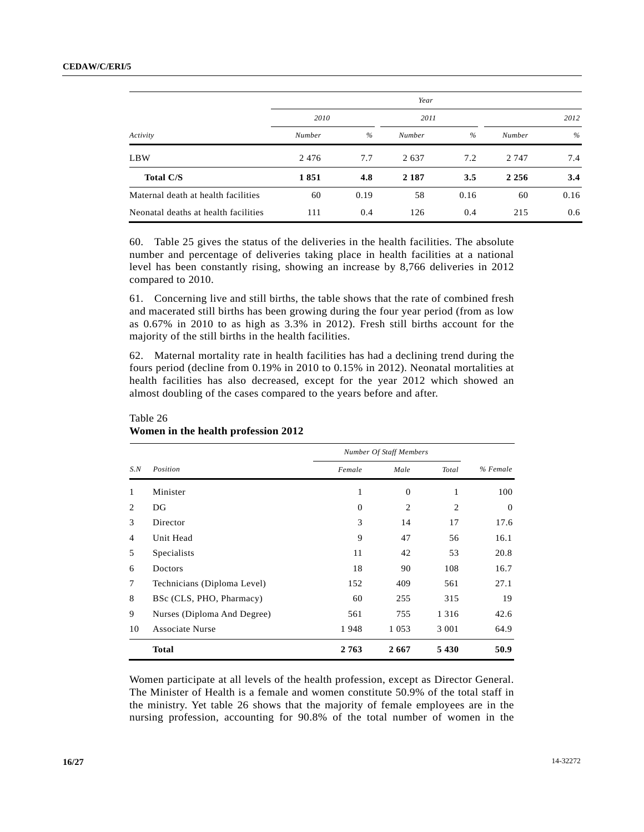| Activity                             | Year   |      |         |      |         |      |
|--------------------------------------|--------|------|---------|------|---------|------|
|                                      | 2010   |      | 2011    |      | 2012    |      |
|                                      | Number | $\%$ | Number  | $\%$ | Number  | $\%$ |
| <b>LBW</b>                           | 2476   | 7.7  | 2637    | 7.2  | 2 7 4 7 | 7.4  |
| <b>Total C/S</b>                     | 1851   | 4.8  | 2 1 8 7 | 3.5  | 2 2 5 6 | 3.4  |
| Maternal death at health facilities  | 60     | 0.19 | 58      | 0.16 | 60      | 0.16 |
| Neonatal deaths at health facilities | 111    | 0.4  | 126     | 0.4  | 215     | 0.6  |

60. Table 25 gives the status of the deliveries in the health facilities. The absolute number and percentage of deliveries taking place in health facilities at a national level has been constantly rising, showing an increase by 8,766 deliveries in 2012 compared to 2010.

61. Concerning live and still births, the table shows that the rate of combined fresh and macerated still births has been growing during the four year period (from as low as 0.67% in 2010 to as high as 3.3% in 2012). Fresh still births account for the majority of the still births in the health facilities.

62. Maternal mortality rate in health facilities has had a declining trend during the fours period (decline from 0.19% in 2010 to 0.15% in 2012). Neonatal mortalities at health facilities has also decreased, except for the year 2012 which showed an almost doubling of the cases compared to the years before and after.

|                |                             |                | <b>Number Of Staff Members</b> |                |          |  |  |
|----------------|-----------------------------|----------------|--------------------------------|----------------|----------|--|--|
| S.N            | Position                    | Female         | Male                           | Total          | % Female |  |  |
| 1              | Minister                    | 1              | $\theta$                       | 1              | 100      |  |  |
| 2              | DG                          | $\overline{0}$ | 2                              | $\overline{2}$ | $\Omega$ |  |  |
| 3              | Director                    | 3              | 14                             | 17             | 17.6     |  |  |
| $\overline{4}$ | Unit Head                   | 9              | 47                             | 56             | 16.1     |  |  |
| 5              | Specialists                 | 11             | 42                             | 53             | 20.8     |  |  |
| 6              | Doctors                     | 18             | 90                             | 108            | 16.7     |  |  |
| 7              | Technicians (Diploma Level) | 152            | 409                            | 561            | 27.1     |  |  |
| 8              | BSc (CLS, PHO, Pharmacy)    | 60             | 255                            | 315            | 19       |  |  |
| 9              | Nurses (Diploma And Degree) | 561            | 755                            | 1 3 1 6        | 42.6     |  |  |
| 10             | <b>Associate Nurse</b>      | 1948           | 1 0 5 3                        | 3 0 0 1        | 64.9     |  |  |
|                | <b>Total</b>                | 2763           | 2667                           | 5430           | 50.9     |  |  |

# Table 26  **Women in the health profession 2012**

Women participate at all levels of the health profession, except as Director General. The Minister of Health is a female and women constitute 50.9% of the total staff in the ministry. Yet table 26 shows that the majority of female employees are in the nursing profession, accounting for 90.8% of the total number of women in the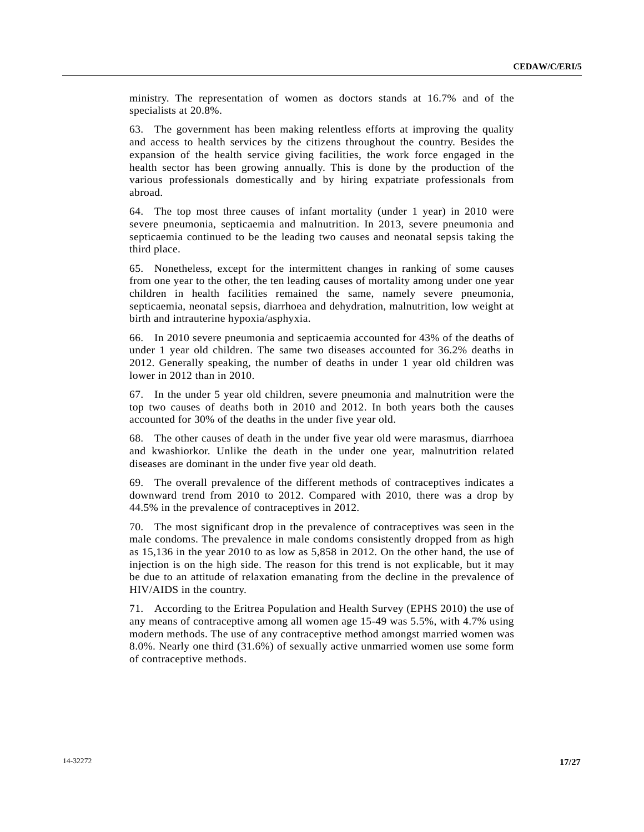ministry. The representation of women as doctors stands at 16.7% and of the specialists at 20.8%.

63. The government has been making relentless efforts at improving the quality and access to health services by the citizens throughout the country. Besides the expansion of the health service giving facilities, the work force engaged in the health sector has been growing annually. This is done by the production of the various professionals domestically and by hiring expatriate professionals from abroad.

64. The top most three causes of infant mortality (under 1 year) in 2010 were severe pneumonia, septicaemia and malnutrition. In 2013, severe pneumonia and septicaemia continued to be the leading two causes and neonatal sepsis taking the third place.

65. Nonetheless, except for the intermittent changes in ranking of some causes from one year to the other, the ten leading causes of mortality among under one year children in health facilities remained the same, namely severe pneumonia, septicaemia, neonatal sepsis, diarrhoea and dehydration, malnutrition, low weight at birth and intrauterine hypoxia/asphyxia.

66. In 2010 severe pneumonia and septicaemia accounted for 43% of the deaths of under 1 year old children. The same two diseases accounted for 36.2% deaths in 2012. Generally speaking, the number of deaths in under 1 year old children was lower in 2012 than in 2010.

67. In the under 5 year old children, severe pneumonia and malnutrition were the top two causes of deaths both in 2010 and 2012. In both years both the causes accounted for 30% of the deaths in the under five year old.

68. The other causes of death in the under five year old were marasmus, diarrhoea and kwashiorkor. Unlike the death in the under one year, malnutrition related diseases are dominant in the under five year old death.

69. The overall prevalence of the different methods of contraceptives indicates a downward trend from 2010 to 2012. Compared with 2010, there was a drop by 44.5% in the prevalence of contraceptives in 2012.

70. The most significant drop in the prevalence of contraceptives was seen in the male condoms. The prevalence in male condoms consistently dropped from as high as 15,136 in the year 2010 to as low as 5,858 in 2012. On the other hand, the use of injection is on the high side. The reason for this trend is not explicable, but it may be due to an attitude of relaxation emanating from the decline in the prevalence of HIV/AIDS in the country.

71. According to the Eritrea Population and Health Survey (EPHS 2010) the use of any means of contraceptive among all women age 15-49 was 5.5%, with 4.7% using modern methods. The use of any contraceptive method amongst married women was 8.0%. Nearly one third (31.6%) of sexually active unmarried women use some form of contraceptive methods.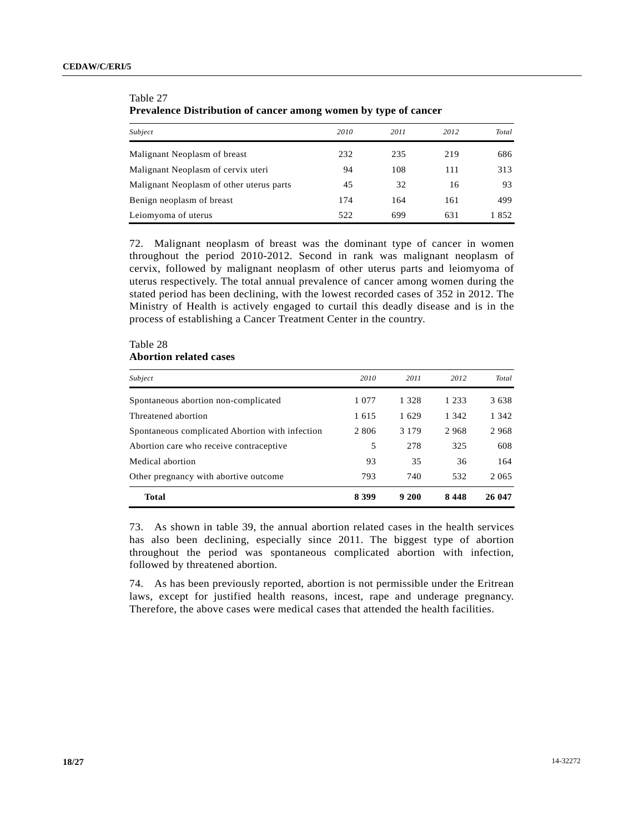| $\sim$ . Whenever as not not contain the contracts with the space $\sim$ , where $\sim$ , which is a contract of |      |      |      |       |  |
|------------------------------------------------------------------------------------------------------------------|------|------|------|-------|--|
| Subject                                                                                                          | 2010 | 2011 | 2012 | Total |  |
| Malignant Neoplasm of breast                                                                                     | 232  | 235  | 219  | 686   |  |
| Malignant Neoplasm of cervix uteri                                                                               | 94   | 108  | 111  | 313   |  |
| Malignant Neoplasm of other uterus parts                                                                         | 45   | 32   | 16   | 93    |  |
| Benign neoplasm of breast                                                                                        | 174  | 164  | 161  | 499   |  |
| Leiomyoma of uterus                                                                                              | 522  | 699  | 631  | 1852  |  |

 Table 27  **Prevalence Distribution of cancer among women by type of cancer** 

72. Malignant neoplasm of breast was the dominant type of cancer in women throughout the period 2010-2012. Second in rank was malignant neoplasm of cervix, followed by malignant neoplasm of other uterus parts and leiomyoma of uterus respectively. The total annual prevalence of cancer among women during the stated period has been declining, with the lowest recorded cases of 352 in 2012. The Ministry of Health is actively engaged to curtail this deadly disease and is in the process of establishing a Cancer Treatment Center in the country.

### Table 28  **Abortion related cases**

| Subject                                         | 2010    | 2011    | 2012    | Total   |
|-------------------------------------------------|---------|---------|---------|---------|
| Spontaneous abortion non-complicated            | 1 0 7 7 | 1 3 2 8 | 1 2 3 3 | 3638    |
| Threatened abortion                             | 1615    | 1629    | 1 342   | 1 3 4 2 |
| Spontaneous complicated Abortion with infection | 2 806   | 3 1 7 9 | 2968    | 2968    |
| Abortion care who receive contraceptive         | 5       | 278     | 325     | 608     |
| Medical abortion                                | 93      | 35      | 36      | 164     |
| Other pregnancy with abortive outcome           | 793     | 740     | 532     | 2 0 6 5 |
| <b>Total</b>                                    | 8 3 9 9 | 9 200   | 8448    | 26 047  |

73. As shown in table 39, the annual abortion related cases in the health services has also been declining, especially since 2011. The biggest type of abortion throughout the period was spontaneous complicated abortion with infection, followed by threatened abortion.

74. As has been previously reported, abortion is not permissible under the Eritrean laws, except for justified health reasons, incest, rape and underage pregnancy. Therefore, the above cases were medical cases that attended the health facilities.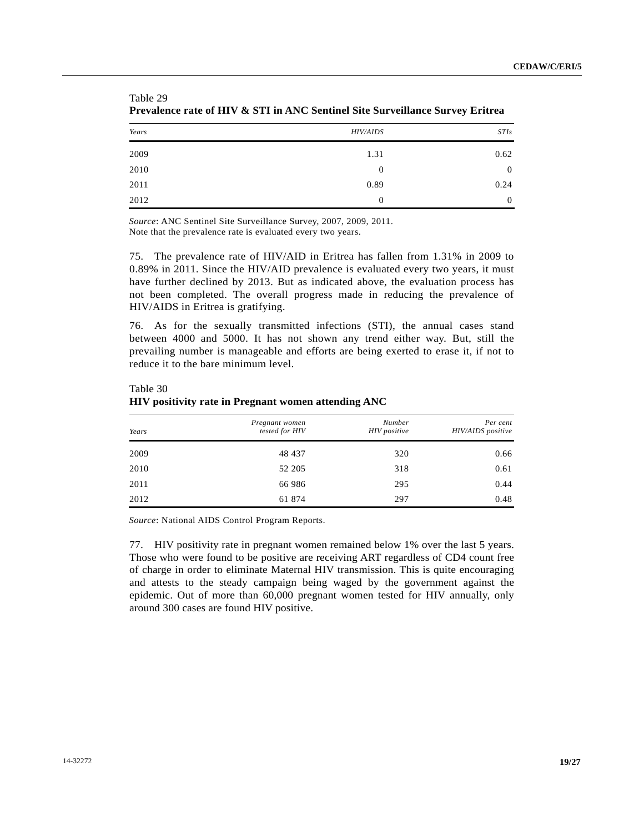| Years | <b>HIV/AIDS</b> | <b>STIs</b>      |
|-------|-----------------|------------------|
| 2009  | 1.31            | 0.62             |
| 2010  | $\overline{0}$  | $\boldsymbol{0}$ |
| 2011  | 0.89            | 0.24             |
| 2012  | $\Omega$        | $\overline{0}$   |

| гане 29                                                                                  |
|------------------------------------------------------------------------------------------|
| <b>Prevalence rate of HIV &amp; STI in ANC Sentinel Site Surveillance Survey Eritrea</b> |

*Source*: ANC Sentinel Site Surveillance Survey, 2007, 2009, 2011. Note that the prevalence rate is evaluated every two years.

 $TA$ <sub>29</sub> $\Omega$ 

75. The prevalence rate of HIV/AID in Eritrea has fallen from 1.31% in 2009 to 0.89% in 2011. Since the HIV/AID prevalence is evaluated every two years, it must have further declined by 2013. But as indicated above, the evaluation process has not been completed. The overall progress made in reducing the prevalence of HIV/AIDS in Eritrea is gratifying.

76. As for the sexually transmitted infections (STI), the annual cases stand between 4000 and 5000. It has not shown any trend either way. But, still the prevailing number is manageable and efforts are being exerted to erase it, if not to reduce it to the bare minimum level.

| Years | Pregnant women<br>tested for HIV | Number<br>HIV positive | Per cent<br>HIV/AIDS positive |
|-------|----------------------------------|------------------------|-------------------------------|
| 2009  | 48 437                           | 320                    | 0.66                          |
| 2010  | 52 205                           | 318                    | 0.61                          |
| 2011  | 66 986                           | 295                    | 0.44                          |
| 2012  | 61 874                           | 297                    | 0.48                          |

 Table 30  **HIV positivity rate in Pregnant women attending ANC** 

*Source*: National AIDS Control Program Reports.

77. HIV positivity rate in pregnant women remained below 1% over the last 5 years. Those who were found to be positive are receiving ART regardless of CD4 count free of charge in order to eliminate Maternal HIV transmission. This is quite encouraging and attests to the steady campaign being waged by the government against the epidemic. Out of more than 60,000 pregnant women tested for HIV annually, only around 300 cases are found HIV positive.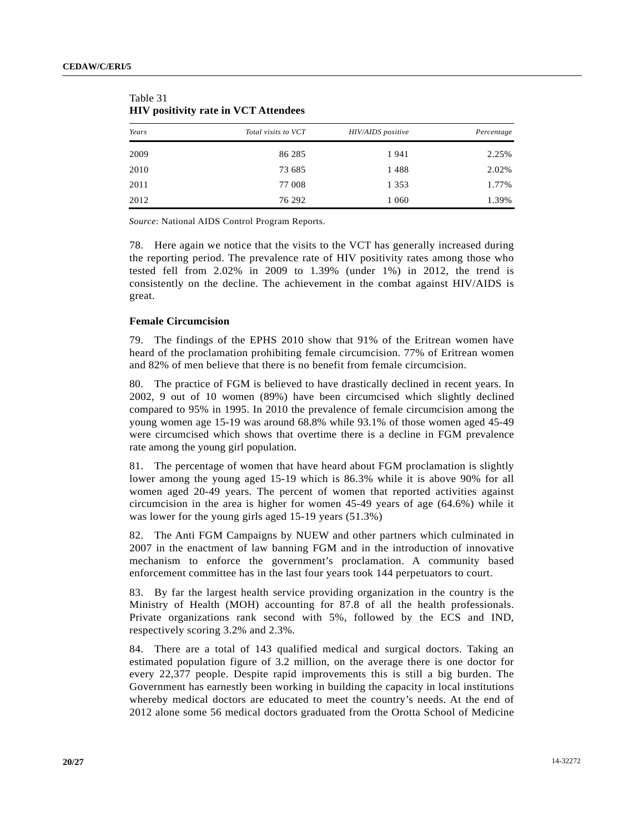| Years | Total visits to VCT | HIV/AIDS positive | Percentage |
|-------|---------------------|-------------------|------------|
| 2009  | 86 285              | 1941              | 2.25%      |
| 2010  | 73 685              | 1488              | 2.02%      |
| 2011  | 77 008              | 1 3 5 3           | 1.77%      |
| 2012  | 76 292              | 1 0 6 0           | 1.39%      |

| Table 31 |                                             |  |
|----------|---------------------------------------------|--|
|          | <b>HIV positivity rate in VCT Attendees</b> |  |

*Source*: National AIDS Control Program Reports.

78. Here again we notice that the visits to the VCT has generally increased during the reporting period. The prevalence rate of HIV positivity rates among those who tested fell from 2.02% in 2009 to 1.39% (under 1%) in 2012, the trend is consistently on the decline. The achievement in the combat against HIV/AIDS is great.

### **Female Circumcision**

79. The findings of the EPHS 2010 show that 91% of the Eritrean women have heard of the proclamation prohibiting female circumcision. 77% of Eritrean women and 82% of men believe that there is no benefit from female circumcision.

80. The practice of FGM is believed to have drastically declined in recent years. In 2002, 9 out of 10 women (89%) have been circumcised which slightly declined compared to 95% in 1995. In 2010 the prevalence of female circumcision among the young women age 15-19 was around 68.8% while 93.1% of those women aged 45-49 were circumcised which shows that overtime there is a decline in FGM prevalence rate among the young girl population.

81. The percentage of women that have heard about FGM proclamation is slightly lower among the young aged 15-19 which is 86.3% while it is above 90% for all women aged 20-49 years. The percent of women that reported activities against circumcision in the area is higher for women 45-49 years of age (64.6%) while it was lower for the young girls aged 15-19 years (51.3%)

82. The Anti FGM Campaigns by NUEW and other partners which culminated in 2007 in the enactment of law banning FGM and in the introduction of innovative mechanism to enforce the government's proclamation. A community based enforcement committee has in the last four years took 144 perpetuators to court.

83. By far the largest health service providing organization in the country is the Ministry of Health (MOH) accounting for 87.8 of all the health professionals. Private organizations rank second with 5%, followed by the ECS and IND, respectively scoring 3.2% and 2.3%.

84. There are a total of 143 qualified medical and surgical doctors. Taking an estimated population figure of 3.2 million, on the average there is one doctor for every 22,377 people. Despite rapid improvements this is still a big burden. The Government has earnestly been working in building the capacity in local institutions whereby medical doctors are educated to meet the country's needs. At the end of 2012 alone some 56 medical doctors graduated from the Orotta School of Medicine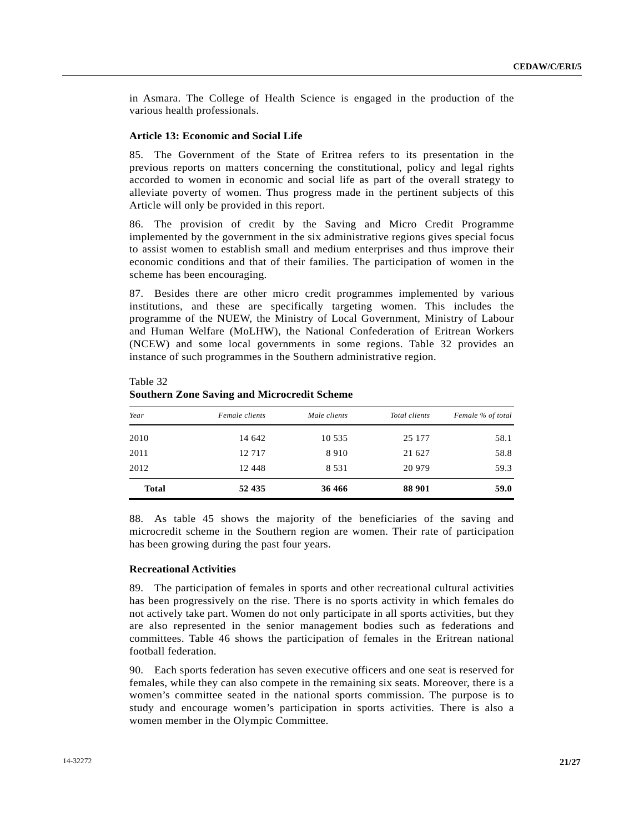in Asmara. The College of Health Science is engaged in the production of the various health professionals.

### **Article 13: Economic and Social Life**

85. The Government of the State of Eritrea refers to its presentation in the previous reports on matters concerning the constitutional, policy and legal rights accorded to women in economic and social life as part of the overall strategy to alleviate poverty of women. Thus progress made in the pertinent subjects of this Article will only be provided in this report.

86. The provision of credit by the Saving and Micro Credit Programme implemented by the government in the six administrative regions gives special focus to assist women to establish small and medium enterprises and thus improve their economic conditions and that of their families. The participation of women in the scheme has been encouraging.

87. Besides there are other micro credit programmes implemented by various institutions, and these are specifically targeting women. This includes the programme of the NUEW, the Ministry of Local Government, Ministry of Labour and Human Welfare (MoLHW), the National Confederation of Eritrean Workers (NCEW) and some local governments in some regions. Table 32 provides an instance of such programmes in the Southern administrative region.

| Year         | Female clients | Male clients | Total clients | Female % of total |
|--------------|----------------|--------------|---------------|-------------------|
| 2010         | 14 642         | 10 5 3 5     | 25 177        | 58.1              |
| 2011         | 12 7 17        | 8910         | 21 627        | 58.8              |
| 2012         | 12 4 48        | 8 5 3 1      | 20 979        | 59.3              |
| <b>Total</b> | 52 435         | 36 466       | 88 901        | 59.0              |

 Table 32  **Southern Zone Saving and Microcredit Scheme** 

88. As table 45 shows the majority of the beneficiaries of the saving and microcredit scheme in the Southern region are women. Their rate of participation has been growing during the past four years.

### **Recreational Activities**

89. The participation of females in sports and other recreational cultural activities has been progressively on the rise. There is no sports activity in which females do not actively take part. Women do not only participate in all sports activities, but they are also represented in the senior management bodies such as federations and committees. Table 46 shows the participation of females in the Eritrean national football federation.

90. Each sports federation has seven executive officers and one seat is reserved for females, while they can also compete in the remaining six seats. Moreover, there is a women's committee seated in the national sports commission. The purpose is to study and encourage women's participation in sports activities. There is also a women member in the Olympic Committee.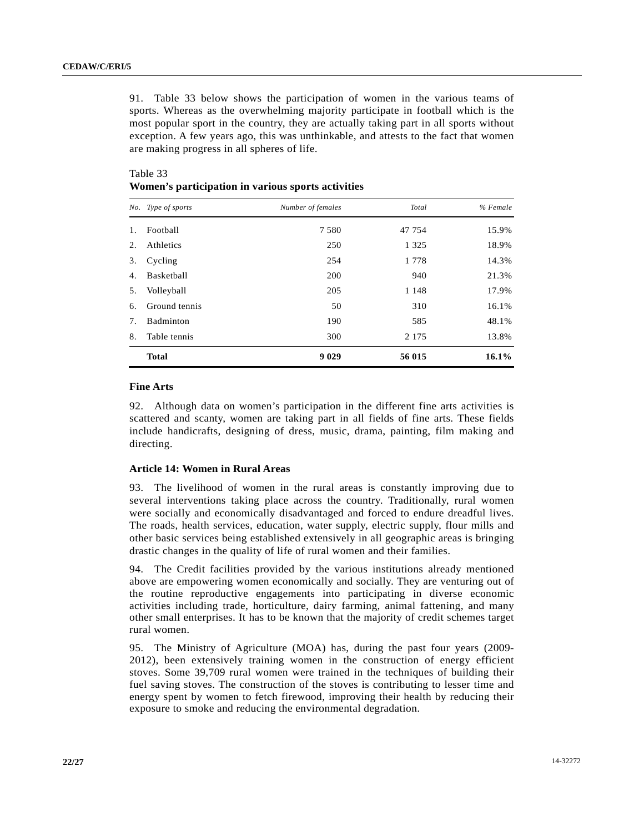91. Table 33 below shows the participation of women in the various teams of sports. Whereas as the overwhelming majority participate in football which is the most popular sport in the country, they are actually taking part in all sports without exception. A few years ago, this was unthinkable, and attests to the fact that women are making progress in all spheres of life.

|    | No. Type of sports | Number of females | Total   | % Female |
|----|--------------------|-------------------|---------|----------|
|    | Football           | 7 5 8 0           | 47 754  | 15.9%    |
| 2. | Athletics          | 250               | 1 3 2 5 | 18.9%    |
| 3. | Cycling            | 254               | 1 7 7 8 | 14.3%    |
| 4. | Basketball         | 200               | 940     | 21.3%    |
| 5. | Volleyball         | 205               | 1 1 4 8 | 17.9%    |
| 6. | Ground tennis      | 50                | 310     | 16.1%    |
| 7. | Badminton          | 190               | 585     | 48.1%    |
| 8. | Table tennis       | 300               | 2 1 7 5 | 13.8%    |
|    | <b>Total</b>       | 9 0 2 9           | 56 015  | 16.1%    |

# Table 33  **Women's participation in various sports activities**

### **Fine Arts**

92. Although data on women's participation in the different fine arts activities is scattered and scanty, women are taking part in all fields of fine arts. These fields include handicrafts, designing of dress, music, drama, painting, film making and directing.

## **Article 14: Women in Rural Areas**

93. The livelihood of women in the rural areas is constantly improving due to several interventions taking place across the country. Traditionally, rural women were socially and economically disadvantaged and forced to endure dreadful lives. The roads, health services, education, water supply, electric supply, flour mills and other basic services being established extensively in all geographic areas is bringing drastic changes in the quality of life of rural women and their families.

94. The Credit facilities provided by the various institutions already mentioned above are empowering women economically and socially. They are venturing out of the routine reproductive engagements into participating in diverse economic activities including trade, horticulture, dairy farming, animal fattening, and many other small enterprises. It has to be known that the majority of credit schemes target rural women.

95. The Ministry of Agriculture (MOA) has, during the past four years (2009- 2012), been extensively training women in the construction of energy efficient stoves. Some 39,709 rural women were trained in the techniques of building their fuel saving stoves. The construction of the stoves is contributing to lesser time and energy spent by women to fetch firewood, improving their health by reducing their exposure to smoke and reducing the environmental degradation.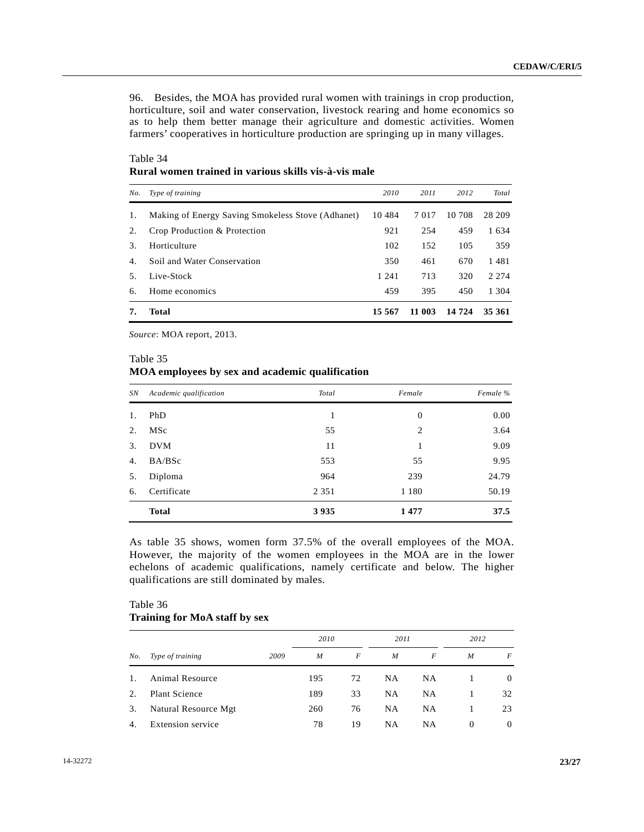96. Besides, the MOA has provided rural women with trainings in crop production, horticulture, soil and water conservation, livestock rearing and home economics so as to help them better manage their agriculture and domestic activities. Women farmers' cooperatives in horticulture production are springing up in many villages.

 Table 34  **Rural women trained in various skills vis-à-vis male** 

| No. | Type of training                                  | 2010    | 2011    | 2012    | Total   |
|-----|---------------------------------------------------|---------|---------|---------|---------|
| 1.  | Making of Energy Saving Smokeless Stove (Adhanet) | 10484   | 7 0 1 7 | 10 708  | 28 209  |
| 2.  | Crop Production & Protection                      | 921     | 254     | 459     | 1634    |
| 3.  | Horticulture                                      | 102     | 152     | 105     | 359     |
| 4.  | Soil and Water Conservation                       | 350     | 461     | 670     | 1481    |
| .5. | Live-Stock                                        | 1 2 4 1 | 713     | 320     | 2 2 7 4 |
| 6.  | Home economics                                    | 459     | 395     | 450     | 1 304   |
|     | Total                                             | 15 567  | 11 003  | 14 7 24 | 35 361  |

*Source*: MOA report, 2013.

### Table 35

### **MOA employees by sex and academic qualification**

| SN | Academic qualification | Total   | Female   | Female % |
|----|------------------------|---------|----------|----------|
| 1. | PhD                    | 1       | $\theta$ | 0.00     |
| 2. | MSc                    | 55      | 2        | 3.64     |
| 3. | <b>DVM</b>             | 11      | 1        | 9.09     |
| 4. | BA/BSc                 | 553     | 55       | 9.95     |
| 5. | Diploma                | 964     | 239      | 24.79    |
| 6. | Certificate            | 2 3 5 1 | 1 1 8 0  | 50.19    |
|    | <b>Total</b>           | 3935    | 1477     | 37.5     |

As table 35 shows, women form 37.5% of the overall employees of the MOA. However, the majority of the women employees in the MOA are in the lower echelons of academic qualifications, namely certificate and below. The higher qualifications are still dominated by males.

# Table 36  **Training for MoA staff by sex**

|     |                      |      | 2010 |    | 2011             |           | 2012     |          |
|-----|----------------------|------|------|----|------------------|-----------|----------|----------|
| No. | Type of training     | 2009 | M    | F  | $\boldsymbol{M}$ | F         | M        | F        |
|     | Animal Resource      |      | 195  | 72 | <b>NA</b>        | NA        |          | $\theta$ |
| 2.  | Plant Science        |      | 189  | 33 | <b>NA</b>        | NA        |          | 32       |
| 3.  | Natural Resource Mgt |      | 260  | 76 | <b>NA</b>        | <b>NA</b> |          | 23       |
| -4. | Extension service    |      | 78   | 19 | <b>NA</b>        | NΑ        | $\Omega$ | $\Omega$ |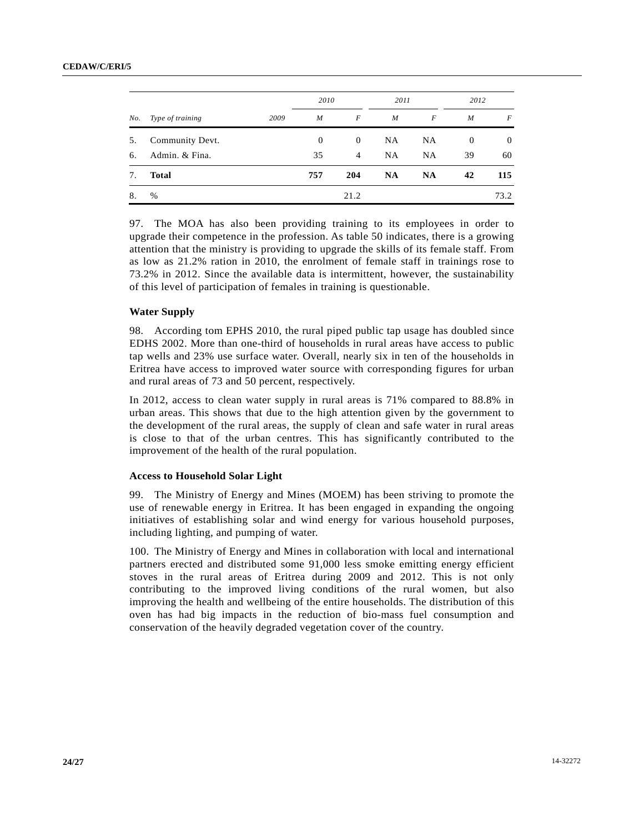#### **CEDAW/C/ERI/5**

|     |                  |      | 2010             |          | 2011             |                  | 2012           |                  |
|-----|------------------|------|------------------|----------|------------------|------------------|----------------|------------------|
| No. | Type of training | 2009 | $\boldsymbol{M}$ | F        | $\boldsymbol{M}$ | $\boldsymbol{F}$ | M              | $\boldsymbol{F}$ |
| 5.  | Community Devt.  |      | $\theta$         | $\theta$ | <b>NA</b>        | <b>NA</b>        | $\overline{0}$ | $\overline{0}$   |
| 6.  | Admin. & Fina.   |      | 35               | 4        | <b>NA</b>        | <b>NA</b>        | 39             | 60               |
| 7.  | <b>Total</b>     |      | 757              | 204      | <b>NA</b>        | <b>NA</b>        | 42             | 115              |
| 8.  | $\%$             |      |                  | 21.2     |                  |                  |                | 73.2             |

97. The MOA has also been providing training to its employees in order to upgrade their competence in the profession. As table 50 indicates, there is a growing attention that the ministry is providing to upgrade the skills of its female staff. From as low as 21.2% ration in 2010, the enrolment of female staff in trainings rose to 73.2% in 2012. Since the available data is intermittent, however, the sustainability of this level of participation of females in training is questionable.

### **Water Supply**

98. According tom EPHS 2010, the rural piped public tap usage has doubled since EDHS 2002. More than one-third of households in rural areas have access to public tap wells and 23% use surface water. Overall, nearly six in ten of the households in Eritrea have access to improved water source with corresponding figures for urban and rural areas of 73 and 50 percent, respectively.

In 2012, access to clean water supply in rural areas is 71% compared to 88.8% in urban areas. This shows that due to the high attention given by the government to the development of the rural areas, the supply of clean and safe water in rural areas is close to that of the urban centres. This has significantly contributed to the improvement of the health of the rural population.

### **Access to Household Solar Light**

99. The Ministry of Energy and Mines (MOEM) has been striving to promote the use of renewable energy in Eritrea. It has been engaged in expanding the ongoing initiatives of establishing solar and wind energy for various household purposes, including lighting, and pumping of water.

100. The Ministry of Energy and Mines in collaboration with local and international partners erected and distributed some 91,000 less smoke emitting energy efficient stoves in the rural areas of Eritrea during 2009 and 2012. This is not only contributing to the improved living conditions of the rural women, but also improving the health and wellbeing of the entire households. The distribution of this oven has had big impacts in the reduction of bio-mass fuel consumption and conservation of the heavily degraded vegetation cover of the country.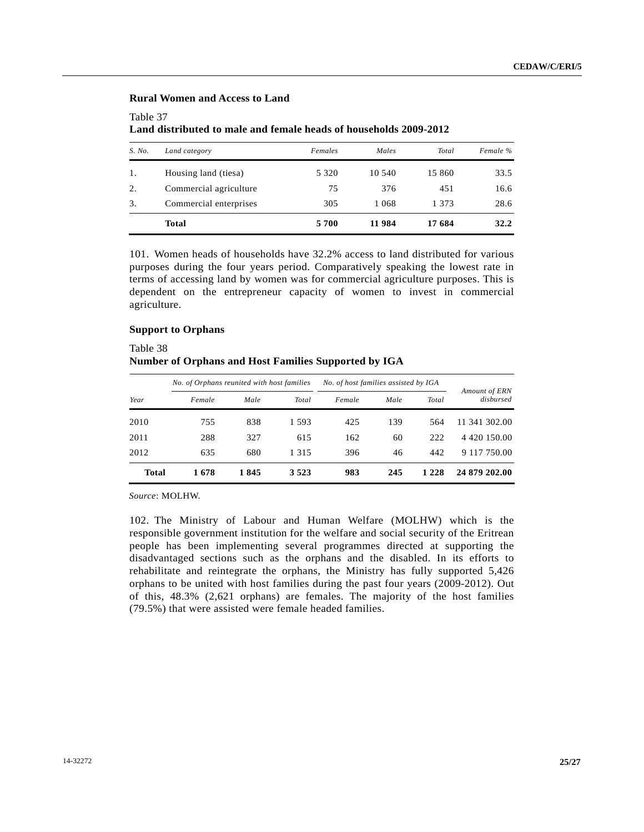# **Rural Women and Access to Land**

## Table 37

 **Land distributed to male and female heads of households 2009-2012** 

| S. No. | Land category          | Females | Males   | Total  | Female % |
|--------|------------------------|---------|---------|--------|----------|
| 1.     | Housing land (tiesa)   | 5 3 2 0 | 10.540  | 15 860 | 33.5     |
| 2.     | Commercial agriculture | 75      | 376     | 451    | 16.6     |
| 3.     | Commercial enterprises | 305     | 1 0 6 8 | 1 373  | 28.6     |
|        | <b>Total</b>           | 5700    | 11 984  | 17 684 | 32.2     |

101. Women heads of households have 32.2% access to land distributed for various purposes during the four years period. Comparatively speaking the lowest rate in terms of accessing land by women was for commercial agriculture purposes. This is dependent on the entrepreneur capacity of women to invest in commercial agriculture.

## **Support to Orphans**

## Table 38  **Number of Orphans and Host Families Supported by IGA**

|       | No. of Orphans reunited with host families |      |         | No. of host families assisted by IGA |      |         |                            |
|-------|--------------------------------------------|------|---------|--------------------------------------|------|---------|----------------------------|
| Year  | Female                                     | Male | Total   | Female                               | Male | Total   | Amount of ERN<br>disbursed |
| 2010  | 755                                        | 838  | 1 5 9 3 | 425                                  | 139  | 564     | 11 341 302.00              |
| 2011  | 288                                        | 327  | 615     | 162                                  | 60   | 222     | 4 4 20 1 5 0 . 0 0         |
| 2012  | 635                                        | 680  | 1 3 1 5 | 396                                  | 46   | 442     | 9 117 750.00               |
| Total | 1678                                       | 1845 | 3 5 2 3 | 983                                  | 245  | 1 2 2 8 | 24 879 202.00              |

*Source*: MOLHW.

102. The Ministry of Labour and Human Welfare (MOLHW) which is the responsible government institution for the welfare and social security of the Eritrean people has been implementing several programmes directed at supporting the disadvantaged sections such as the orphans and the disabled. In its efforts to rehabilitate and reintegrate the orphans, the Ministry has fully supported 5,426 orphans to be united with host families during the past four years (2009-2012). Out of this, 48.3% (2,621 orphans) are females. The majority of the host families (79.5%) that were assisted were female headed families.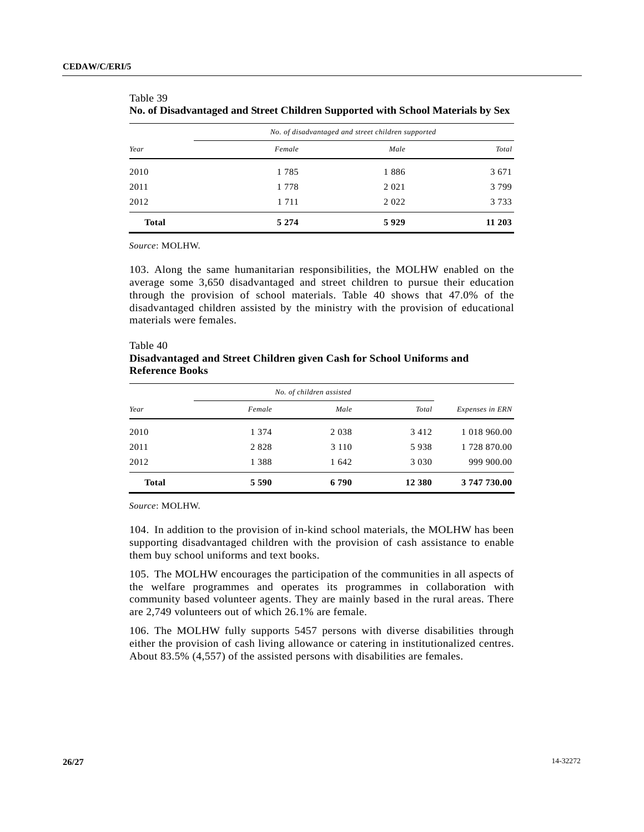|              |         | No. of disadvantaged and street children supported |         |
|--------------|---------|----------------------------------------------------|---------|
| Year         | Female  | Male                                               | Total   |
| 2010         | 1785    | 1886                                               | 3 6 7 1 |
| 2011         | 1 7 7 8 | 2 0 2 1                                            | 3799    |
| 2012         | 1 7 1 1 | 2022                                               | 3 7 3 3 |
| <b>Total</b> | 5 2 7 4 | 5929                                               | 11 203  |

| 1 AUIC 17                                                                       |
|---------------------------------------------------------------------------------|
| No. of Disadvantaged and Street Children Supported with School Materials by Sex |

*Source*: MOLHW.

 $TA<sub>20</sub>$ 

103. Along the same humanitarian responsibilities, the MOLHW enabled on the average some 3,650 disadvantaged and street children to pursue their education through the provision of school materials. Table 40 shows that 47.0% of the disadvantaged children assisted by the ministry with the provision of educational materials were females.

| <b>Reference Books</b> | Disadvantaged and Street Children given Cash for School Uniforms and |                          |       |                 |
|------------------------|----------------------------------------------------------------------|--------------------------|-------|-----------------|
|                        |                                                                      | No. of children assisted |       |                 |
| Year                   | Female                                                               | Male                     | Total | Expenses in ERN |
| 2010                   | 1 3 7 4                                                              | 2 0 3 8                  | 3412  | 1 018 960.00    |
| 2011                   | 2828                                                                 | 3 1 1 0                  | 5938  | 1 728 870.00    |

| Table 40                                                             |  |  |
|----------------------------------------------------------------------|--|--|
| Disadvantaged and Street Children given Cash for School Uniforms and |  |  |
| <b>Reference Books</b>                                               |  |  |

*Source*: MOLHW.

104. In addition to the provision of in-kind school materials, the MOLHW has been supporting disadvantaged children with the provision of cash assistance to enable them buy school uniforms and text books.

2012 1 388 1 642 3 030 999 900.00

 **Total 5 590 6 790 12 380 3 747 730.00** 

105. The MOLHW encourages the participation of the communities in all aspects of the welfare programmes and operates its programmes in collaboration with community based volunteer agents. They are mainly based in the rural areas. There are 2,749 volunteers out of which 26.1% are female.

106. The MOLHW fully supports 5457 persons with diverse disabilities through either the provision of cash living allowance or catering in institutionalized centres. About 83.5% (4,557) of the assisted persons with disabilities are females.